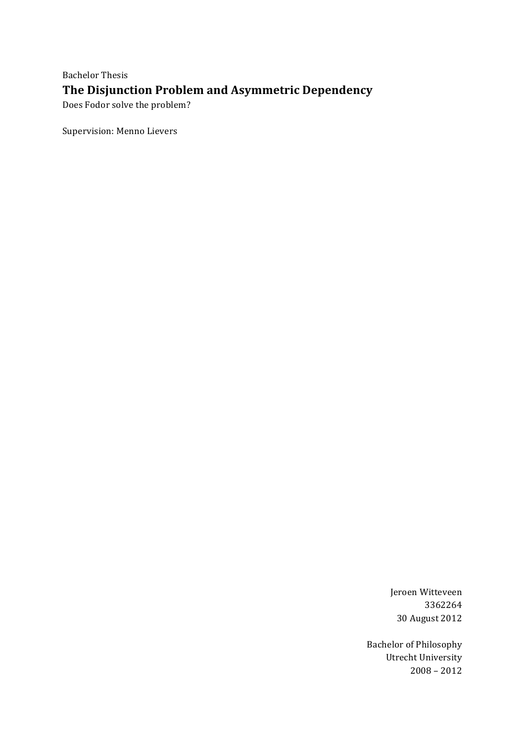**Bachelor Thesis** The Disjunction Problem and Asymmetric Dependency Does Fodor solve the problem?

Supervision: Menno Lievers

Jeroen Witteveen 3362264 30 August 2012

**Bachelor of Philosophy** Utrecht University  $2008 - 2012$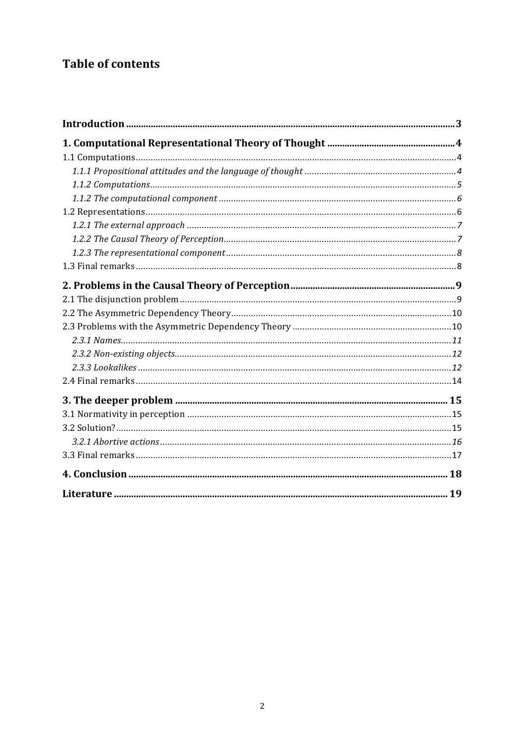# **Table of contents**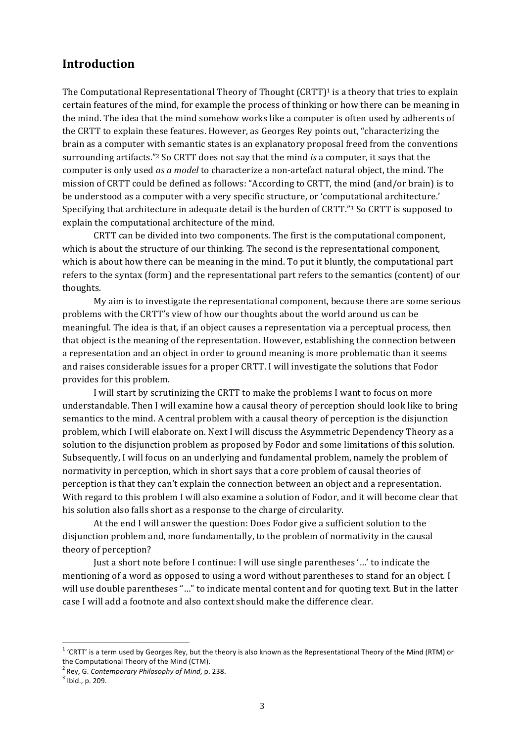## **Introduction**

The Computational Representational Theory of Thought  $(CRTT)^1$  is a theory that tries to explain certain features of the mind, for example the process of thinking or how there can be meaning in the mind. The idea that the mind somehow works like a computer is often used by adherents of the CRTT to explain these features. However, as Georges Rey points out, "characterizing the brain as a computer with semantic states is an explanatory proposal freed from the conventions surrounding artifacts."<sup>2</sup> So CRTT does not say that the mind *is* a computer, it says that the computer is only used *as a model* to characterize a non-artefact natural object, the mind. The mission of CRTT could be defined as follows: "According to CRTT, the mind (and/or brain) is to be understood as a computer with a very specific structure, or 'computational architecture.' Specifying that architecture in adequate detail is the burden of CRTT."<sup>3</sup> So CRTT is supposed to explain the computational architecture of the mind.

CRTT can be divided into two components. The first is the computational component, which is about the structure of our thinking. The second is the representational component, which is about how there can be meaning in the mind. To put it bluntly, the computational part refers to the syntax (form) and the representational part refers to the semantics (content) of our thoughts.!

My aim is to investigate the representational component, because there are some serious problems with the CRTT's view of how our thoughts about the world around us can be meaningful. The idea is that, if an object causes a representation via a perceptual process, then that object is the meaning of the representation. However, establishing the connection between a representation and an object in order to ground meaning is more problematic than it seems and raises considerable issues for a proper CRTT. I will investigate the solutions that Fodor provides for this problem.

I will start by scrutinizing the CRTT to make the problems I want to focus on more understandable. Then I will examine how a causal theory of perception should look like to bring semantics to the mind. A central problem with a causal theory of perception is the disjunction problem, which I will elaborate on. Next I will discuss the Asymmetric Dependency Theory as a solution to the disjunction problem as proposed by Fodor and some limitations of this solution. Subsequently, I will focus on an underlying and fundamental problem, namely the problem of normativity in perception, which in short says that a core problem of causal theories of perception is that they can't explain the connection between an object and a representation. With regard to this problem I will also examine a solution of Fodor, and it will become clear that his solution also falls short as a response to the charge of circularity.

At the end I will answer the question: Does Fodor give a sufficient solution to the disjunction problem and, more fundamentally, to the problem of normativity in the causal theory of perception?

Just a short note before I continue: I will use single parentheses '...' to indicate the mentioning of a word as opposed to using a word without parentheses to stand for an object. I will use double parentheses "..." to indicate mental content and for quoting text. But in the latter case I will add a footnote and also context should make the difference clear.

 $1$  'CRTT' is a term used by Georges Rey, but the theory is also known as the Representational Theory of the Mind (RTM) or the Computational Theory of the Mind (CTM).

<sup>&</sup>lt;sup>2</sup> Rey, G. *Contemporary Philosophy of Mind*, p. 238. <sup>3</sup> Ibid., p. 209.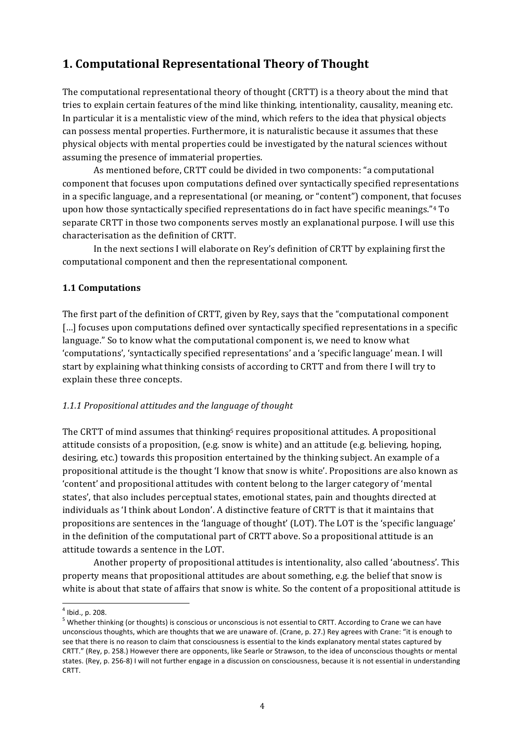# **1.\$Computational\$Representational\$Theory\$of\$Thought**

The computational representational theory of thought (CRTT) is a theory about the mind that tries to explain certain features of the mind like thinking, intentionality, causality, meaning etc. In particular it is a mentalistic view of the mind, which refers to the idea that physical objects can possess mental properties. Furthermore, it is naturalistic because it assumes that these physical objects with mental properties could be investigated by the natural sciences without assuming the presence of immaterial properties.

As mentioned before, CRTT could be divided in two components: "a computational component that focuses upon computations defined over syntactically specified representations in a specific language, and a representational (or meaning, or "content") component, that focuses upon how those syntactically specified representations do in fact have specific meanings." $4$  To separate CRTT in those two components serves mostly an explanational purpose. I will use this characterisation as the definition of CRTT.

In the next sections I will elaborate on Rey's definition of CRTT by explaining first the computational component and then the representational component.

## **1.1 Computations**

The first part of the definition of CRTT, given by Rey, says that the "computational component" [...] focuses upon computations defined over syntactically specified representations in a specific language." So to know what the computational component is, we need to know what 'computations', 'syntactically specified representations' and a 'specific language' mean. I will start by explaining what thinking consists of according to CRTT and from there I will try to explain these three concepts.

## 1.1.1 Propositional attitudes and the language of thought

The CRTT of mind assumes that thinking<sup>5</sup> requires propositional attitudes. A propositional attitude consists of a proposition, (e.g. snow is white) and an attitude (e.g. believing, hoping, desiring, etc.) towards this proposition entertained by the thinking subject. An example of a propositional attitude is the thought 'I know that snow is white'. Propositions are also known as 'content' and propositional attitudes with content belong to the larger category of 'mental states', that also includes perceptual states, emotional states, pain and thoughts directed at individuals as 'I think about London'. A distinctive feature of CRTT is that it maintains that propositions are sentences in the 'language of thought' (LOT). The LOT is the 'specific language' in the definition of the computational part of CRTT above. So a propositional attitude is an attitude towards a sentence in the LOT.

Another property of propositional attitudes is intentionality, also called 'aboutness'. This property means that propositional attitudes are about something, e.g. the belief that snow is white is about that state of affairs that snow is white. So the content of a propositional attitude is

<sup>&</sup>lt;sup>4</sup> Ibid., p. 208.<br><sup>5</sup> Whether thinking (or thoughts) is conscious or unconscious is not essential to CRTT. According to Crane we can have unconscious thoughts, which are thoughts that we are unaware of. (Crane, p. 27.) Rey agrees with Crane: "it is enough to see that there is no reason to claim that consciousness is essential to the kinds explanatory mental states captured by CRTT." (Rey, p. 258.) However there are opponents, like Searle or Strawson, to the idea of unconscious thoughts or mental states. (Rey, p. 256-8) I will not further engage in a discussion on consciousness, because it is not essential in understanding CRTT.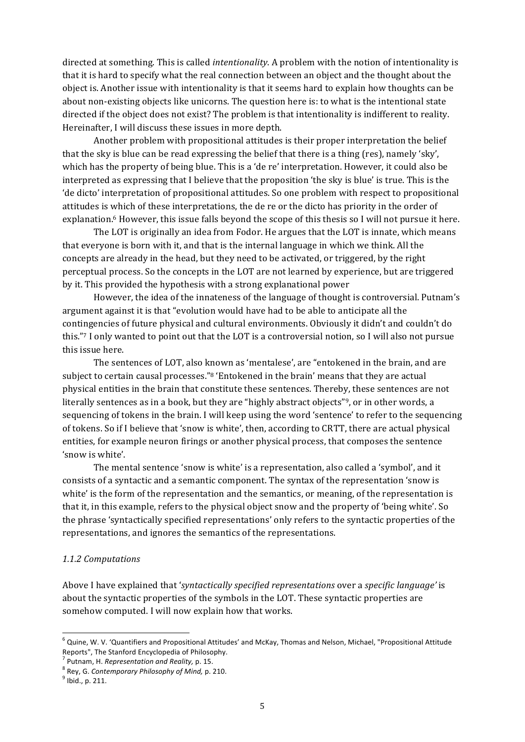directed at something. This is called *intentionality*. A problem with the notion of intentionality is that it is hard to specify what the real connection between an object and the thought about the object is. Another issue with intentionality is that it seems hard to explain how thoughts can be about non-existing objects like unicorns. The question here is: to what is the intentional state directed if the object does not exist? The problem is that intentionality is indifferent to reality. Hereinafter, I will discuss these issues in more depth.

Another problem with propositional attitudes is their proper interpretation the belief that the sky is blue can be read expressing the belief that there is a thing (res), namely 'sky', which has the property of being blue. This is a 'de re' interpretation. However, it could also be interpreted as expressing that I believe that the proposition 'the sky is blue' is true. This is the 'de dicto' interpretation of propositional attitudes. So one problem with respect to propositional attitudes is which of these interpretations, the de re or the dicto has priority in the order of explanation.<sup>6</sup> However, this issue falls beyond the scope of this thesis so I will not pursue it here.

The LOT is originally an idea from Fodor. He argues that the LOT is innate, which means that everyone is born with it, and that is the internal language in which we think. All the concepts are already in the head, but they need to be activated, or triggered, by the right perceptual process. So the concepts in the LOT are not learned by experience, but are triggered by it. This provided the hypothesis with a strong explanational power

However, the idea of the innateness of the language of thought is controversial. Putnam's argument against it is that "evolution would have had to be able to anticipate all the contingencies of future physical and cultural environments. Obviously it didn't and couldn't do this."<sup>7</sup> I only wanted to point out that the LOT is a controversial notion, so I will also not pursue this issue here.

The sentences of LOT, also known as 'mentalese', are "entokened in the brain, and are subject to certain causal processes."8 'Entokened in the brain' means that they are actual physical entities in the brain that constitute these sentences. Thereby, these sentences are not literally sentences as in a book, but they are "highly abstract objects"<sup>9</sup>, or in other words, a sequencing of tokens in the brain. I will keep using the word 'sentence' to refer to the sequencing of tokens. So if I believe that 'snow is white', then, according to CRTT, there are actual physical entities, for example neuron firings or another physical process, that composes the sentence 'snow is white'.

The mental sentence 'snow is white' is a representation, also called a 'symbol', and it consists of a syntactic and a semantic component. The syntax of the representation 'snow is white' is the form of the representation and the semantics, or meaning, of the representation is that it, in this example, refers to the physical object snow and the property of 'being white'. So the phrase 'syntactically specified representations' only refers to the syntactic properties of the representations, and ignores the semantics of the representations.

#### *1.1.2#Computations*

Above I have explained that '*syntactically specified representations* over a *specific language'* is about the syntactic properties of the symbols in the LOT. These syntactic properties are somehow computed. I will now explain how that works.

 $6$  Quine, W. V. 'Quantifiers and Propositional Attitudes' and McKay, Thomas and Nelson, Michael, "Propositional Attitude Reports", The Stanford Encyclopedia of Philosophy.<br><sup>7</sup> Putnam, H. Representation and Reality, p. 15.

<sup>&</sup>lt;sup>8</sup> Rey, G. *Contemporary Philosophy of Mind, p.* 210.<br><sup>9</sup> Ibid., p. 211.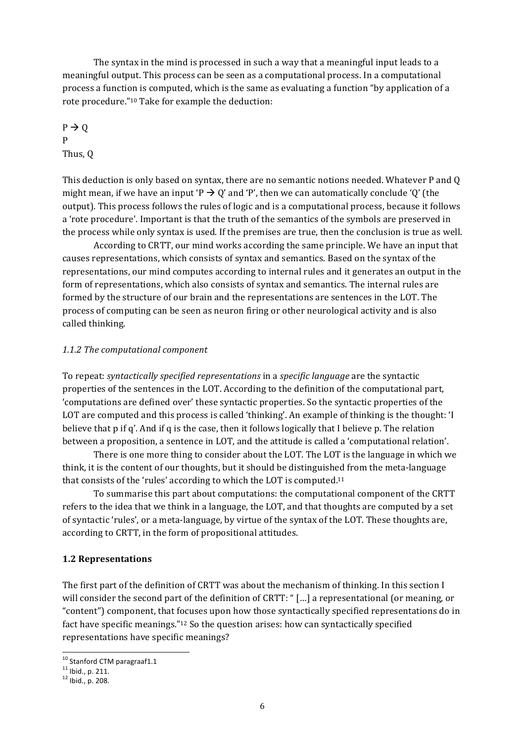The syntax in the mind is processed in such a way that a meaningful input leads to a meaningful output. This process can be seen as a computational process. In a computational process a function is computed, which is the same as evaluating a function "by application of a rote procedure."<sup>10</sup> Take for example the deduction:

 $P \rightarrow Q$ P Thus, Q

This deduction is only based on syntax, there are no semantic notions needed. Whatever P and O might mean, if we have an input 'P  $\rightarrow$  Q' and 'P', then we can automatically conclude 'Q' (the output). This process follows the rules of logic and is a computational process, because it follows a 'rote procedure'. Important is that the truth of the semantics of the symbols are preserved in the process while only syntax is used. If the premises are true, then the conclusion is true as well.

According to CRTT, our mind works according the same principle. We have an input that causes representations, which consists of syntax and semantics. Based on the syntax of the representations, our mind computes according to internal rules and it generates an output in the form of representations, which also consists of syntax and semantics. The internal rules are formed by the structure of our brain and the representations are sentences in the LOT. The process of computing can be seen as neuron firing or other neurological activity and is also called thinking.

#### 1.1.2 The computational component

To repeat: *syntactically specified representations* in a *specific language* are the syntactic properties of the sentences in the LOT. According to the definition of the computational part, 'computations are defined over' these syntactic properties. So the syntactic properties of the LOT are computed and this process is called 'thinking'. An example of thinking is the thought: 'I believe that p if q'. And if q is the case, then it follows logically that I believe p. The relation between a proposition, a sentence in LOT, and the attitude is called a 'computational relation'.

There is one more thing to consider about the LOT. The LOT is the language in which we think, it is the content of our thoughts, but it should be distinguished from the meta-language that consists of the 'rules' according to which the LOT is computed.<sup>11</sup>

To summarise this part about computations: the computational component of the CRTT refers to the idea that we think in a language, the LOT, and that thoughts are computed by a set of syntactic 'rules', or a meta-language, by virtue of the syntax of the LOT. These thoughts are, according to CRTT, in the form of propositional attitudes.

#### **1.2\$Representations**

The first part of the definition of CRTT was about the mechanism of thinking. In this section I will consider the second part of the definition of CRTT: " [...] a representational (or meaning, or "content") component, that focuses upon how those syntactically specified representations do in fact have specific meanings."<sup>12</sup> So the question arises: how can syntactically specified representations have specific meanings?

<sup>&</sup>lt;sup>10</sup> Stanford CTM paragraaf1.1<br><sup>11</sup> Ibid., p. 211.<br><sup>12</sup> Ibid., p. 208.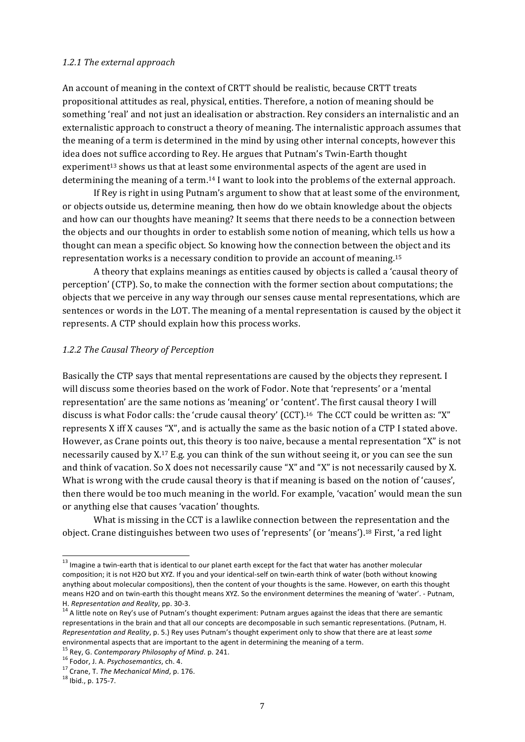#### 1.2.1 The external approach

An account of meaning in the context of CRTT should be realistic, because CRTT treats propositional attitudes as real, physical, entities. Therefore, a notion of meaning should be something 'real' and not just an idealisation or abstraction. Rey considers an internalistic and an externalistic approach to construct a theory of meaning. The internalistic approach assumes that the meaning of a term is determined in the mind by using other internal concepts, however this idea does not suffice according to Rey. He argues that Putnam's Twin-Earth thought experiment<sup>13</sup> shows us that at least some environmental aspects of the agent are used in determining the meaning of a term.<sup>14</sup> I want to look into the problems of the external approach.

If Rey is right in using Putnam's argument to show that at least some of the environment, or objects outside us, determine meaning, then how do we obtain knowledge about the objects and how can our thoughts have meaning? It seems that there needs to be a connection between the objects and our thoughts in order to establish some notion of meaning, which tells us how a thought can mean a specific object. So knowing how the connection between the object and its representation works is a necessary condition to provide an account of meaning.<sup>15</sup>

A theory that explains meanings as entities caused by objects is called a 'causal theory of perception' (CTP). So, to make the connection with the former section about computations; the objects that we perceive in any way through our senses cause mental representations, which are sentences or words in the LOT. The meaning of a mental representation is caused by the object it represents. A CTP should explain how this process works.

#### 1.2.2 The Causal Theory of Perception

Basically the CTP says that mental representations are caused by the objects they represent. I will discuss some theories based on the work of Fodor. Note that 'represents' or a 'mental representation' are the same notions as 'meaning' or 'content'. The first causal theory I will discuss is what Fodor calls: the 'crude causal theory' (CCT).<sup>16</sup> The CCT could be written as: "X" represents X iff X causes "X", and is actually the same as the basic notion of a CTP I stated above. However, as Crane points out, this theory is too naive, because a mental representation "X" is not necessarily caused by X.17 E.g. you can think of the sun without seeing it, or you can see the sun and think of vacation. So X does not necessarily cause "X" and "X" is not necessarily caused by X. What is wrong with the crude causal theory is that if meaning is based on the notion of 'causes', then there would be too much meaning in the world. For example, 'vacation' would mean the sun or anything else that causes 'vacation' thoughts.

What is missing in the CCT is a lawlike connection between the representation and the object. Crane distinguishes between two uses of 'represents' (or 'means').<sup>18</sup> First, 'a red light

 $13$  Imagine a twin-earth that is identical to our planet earth except for the fact that water has another molecular composition; it is not H2O but XYZ. If you and your identical-self on twin-earth think of water (both without knowing anything about molecular compositions), then the content of your thoughts is the same. However, on earth this thought means H2O and on twin-earth this thought means XYZ. So the environment determines the meaning of 'water'. - Putnam, H. *Representation and Reality*, pp. 30-3. 14 Atitions and attendiest putnam argues against the ideas that there are semantic thetaxistanalided attention and Rey's use of Putnam's thought experiment: Putnam argues against

representations in the brain and that all our concepts are decomposable in such semantic representations. (Putnam, H. *Representation and Reality*, p. 5.) Rey uses Putnam's thought experiment only to show that there are at least some environmental aspects that are important to the agent in determining the meaning of a term.<br><sup>15</sup> Rey, G. Contemporary Philosophy of Mind. p. 241.<br><sup>16</sup> Fodor, J. A. Psychosemantics, ch. 4.<br><sup>17</sup> Crane, T. The Mechanical Mind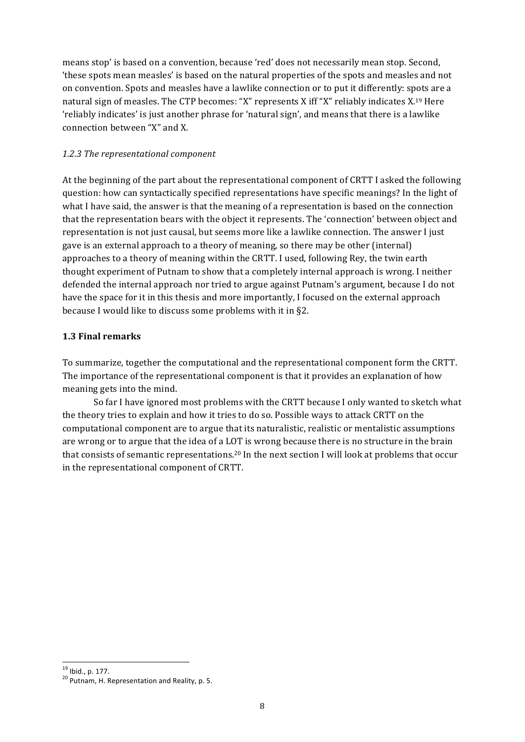means stop' is based on a convention, because 'red' does not necessarily mean stop. Second, these spots mean measles' is based on the natural properties of the spots and measles and not on convention. Spots and measles have a lawlike connection or to put it differently: spots are a natural sign of measles. The CTP becomes: "X" represents X iff "X" reliably indicates X.<sup>19</sup> Here 'reliably indicates' is just another phrase for 'natural sign', and means that there is a lawlike connection between "X" and X.

## 1.2.3 The representational component

At the beginning of the part about the representational component of CRTT I asked the following question: how can syntactically specified representations have specific meanings? In the light of what I have said, the answer is that the meaning of a representation is based on the connection that the representation bears with the object it represents. The 'connection' between object and representation is not just causal, but seems more like a lawlike connection. The answer I just gave is an external approach to a theory of meaning, so there may be other (internal) approaches to a theory of meaning within the CRTT. I used, following Rey, the twin earth thought experiment of Putnam to show that a completely internal approach is wrong. I neither defended the internal approach nor tried to argue against Putnam's argument, because I do not have the space for it in this thesis and more importantly, I focused on the external approach because I would like to discuss some problems with it in §2.

## **1.3\$Final\$remarks**

To summarize, together the computational and the representational component form the CRTT. The importance of the representational component is that it provides an explanation of how meaning gets into the mind.

So far I have ignored most problems with the CRTT because I only wanted to sketch what the theory tries to explain and how it tries to do so. Possible ways to attack CRTT on the computational component are to argue that its naturalistic, realistic or mentalistic assumptions are wrong or to argue that the idea of a LOT is wrong because there is no structure in the brain that consists of semantic representations.<sup>20</sup> In the next section I will look at problems that occur in the representational component of CRTT.

 $19$  lbid., p. 177.<br><sup>20</sup> Putnam, H. Representation and Reality, p. 5.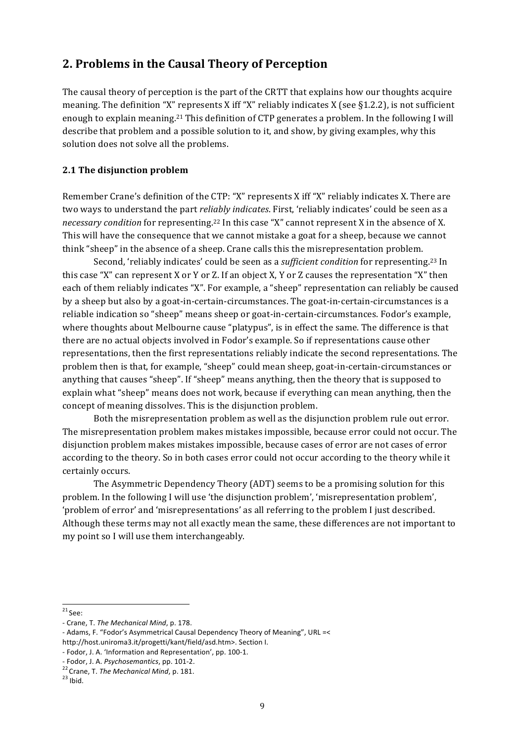## 2. Problems in the Causal Theory of Perception

The causal theory of perception is the part of the CRTT that explains how our thoughts acquire meaning. The definition "X" represents X iff "X" reliably indicates X (see  $\S 1.2.2$ ), is not sufficient enough to explain meaning.<sup>21</sup> This definition of CTP generates a problem. In the following I will describe that problem and a possible solution to it, and show, by giving examples, why this solution does not solve all the problems.

## 2.1 The disjunction problem

Remember Crane's definition of the CTP: "X" represents X iff "X" reliably indicates X. There are two ways to understand the part *reliably indicates*. First, 'reliably indicates' could be seen as a necessary condition for representing.<sup>22</sup> In this case "X" cannot represent X in the absence of X. This will have the consequence that we cannot mistake a goat for a sheep, because we cannot think "sheep" in the absence of a sheep. Crane calls this the misrepresentation problem.

Second, 'reliably indicates' could be seen as a *sufficient condition* for representing.<sup>23</sup> In this case "X" can represent X or Y or Z. If an object X, Y or Z causes the representation "X" then each of them reliably indicates "X". For example, a "sheep" representation can reliably be caused by a sheep but also by a goat-in-certain-circumstances. The goat-in-certain-circumstances is a reliable indication so "sheep" means sheep or goat-in-certain-circumstances. Fodor's example, where thoughts about Melbourne cause "platypus", is in effect the same. The difference is that there are no actual objects involved in Fodor's example. So if representations cause other representations, then the first representations reliably indicate the second representations. The problem then is that, for example, "sheep" could mean sheep, goat-in-certain-circumstances or anything that causes "sheep". If "sheep" means anything, then the theory that is supposed to explain what "sheep" means does not work, because if everything can mean anything, then the concept of meaning dissolves. This is the disjunction problem.

Both the misrepresentation problem as well as the disjunction problem rule out error. The misrepresentation problem makes mistakes impossible, because error could not occur. The disjunction problem makes mistakes impossible, because cases of error are not cases of error according to the theory. So in both cases error could not occur according to the theory while it certainly occurs.

The Asymmetric Dependency Theory (ADT) seems to be a promising solution for this problem. In the following I will use 'the disjunction problem', 'misrepresentation problem'. 'problem of error' and 'misrepresentations' as all referring to the problem I just described. Although these terms may not all exactly mean the same, these differences are not important to my point so I will use them interchangeably.

 $21$  See:

<sup>-</sup> Crane, T. The Mechanical Mind, p. 178.

<sup>-</sup> Adams, F. "Fodor's Asymmetrical Causal Dependency Theory of Meaning", URL =< http://host.uniroma3.it/progetti/kant/field/asd.htm>. Section I.

<sup>-</sup> Fodor, J. A. 'Information and Representation', pp. 100-1.

<sup>-</sup> Fodor, J. A. Psychosemantics, pp. 101-2.

<sup>&</sup>lt;sup>22</sup> Crane, T. The Mechanical Mind, p. 181.

 $23$  Ibid.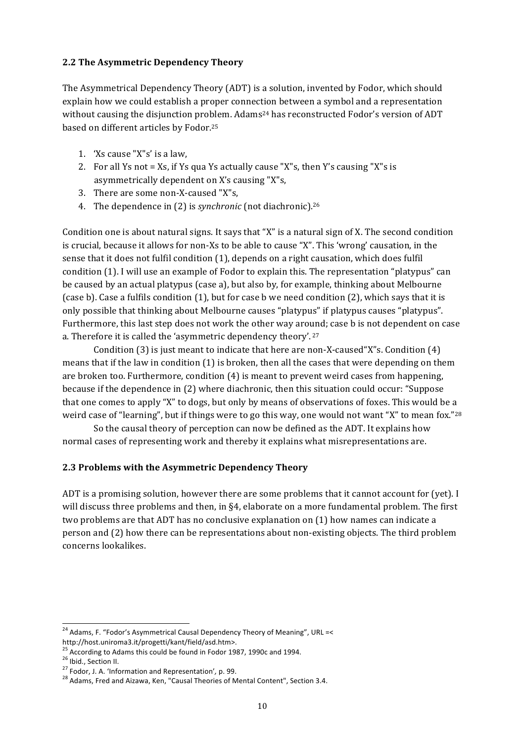## 2.2 The Asymmetric Dependency Theory

The Asymmetrical Dependency Theory (ADT) is a solution, invented by Fodor, which should explain how we could establish a proper connection between a symbol and a representation without causing the disjunction problem. Adams<sup>24</sup> has reconstructed Fodor's version of ADT based on different articles by Fodor.<sup>25</sup>

- 1. 'Xs cause "X"s' is a law.
- 2. For all Ys not = Xs, if Ys qua Ys actually cause "X"s, then Y's causing "X"s is asymmetrically dependent on X's causing "X"s,
- 3. There are some non-X-caused "X"s,
- 4. The dependence in (2) is *synchronic* (not diachronic).<sup>26</sup>

Condition one is about natural signs. It says that "X" is a natural sign of X. The second condition is crucial, because it allows for non-Xs to be able to cause "X". This 'wrong' causation, in the sense that it does not fulfil condition (1), depends on a right causation, which does fulfil condition (1). I will use an example of Fodor to explain this. The representation "platypus" can be caused by an actual platypus (case a), but also by, for example, thinking about Melbourne (case b). Case a fulfils condition (1), but for case b we need condition (2), which says that it is only possible that thinking about Melbourne causes "platypus" if platypus causes "platypus". Furthermore, this last step does not work the other way around; case b is not dependent on case a. Therefore it is called the 'asymmetric dependency theory'.<sup>27</sup>

Condition (3) is just meant to indicate that here are non-X-caused "X"s. Condition (4) means that if the law in condition (1) is broken, then all the cases that were depending on them are broken too. Furthermore, condition (4) is meant to prevent weird cases from happening, because if the dependence in (2) where diachronic, then this situation could occur: "Suppose that one comes to apply "X" to dogs, but only by means of observations of foxes. This would be a weird case of "learning", but if things were to go this way, one would not want "X" to mean fox."28

So the causal theory of perception can now be defined as the ADT. It explains how normal cases of representing work and thereby it explains what misrepresentations are.

## 2.3 Problems with the Asymmetric Dependency Theory

ADT is a promising solution, however there are some problems that it cannot account for (yet). I will discuss three problems and then, in  $\S$ 4, elaborate on a more fundamental problem. The first two problems are that ADT has no conclusive explanation on (1) how names can indicate a person and (2) how there can be representations about non-existing objects. The third problem concerns lookalikes.

<sup>&</sup>lt;sup>24</sup> Adams, F. "Fodor's Asymmetrical Causal Dependency Theory of Meaning", URL =< http://host.uniroma3.it/progetti/kant/field/asd.htm>.

<sup>&</sup>lt;sup>25</sup> According to Adams this could be found in Fodor 1987, 1990c and 1994.

<sup>&</sup>lt;sup>26</sup> Ibid., Section II.

<sup>&</sup>lt;sup>27</sup> Fodor, J. A. 'Information and Representation', p. 99.

<sup>&</sup>lt;sup>28</sup> Adams, Fred and Aizawa, Ken, "Causal Theories of Mental Content", Section 3.4.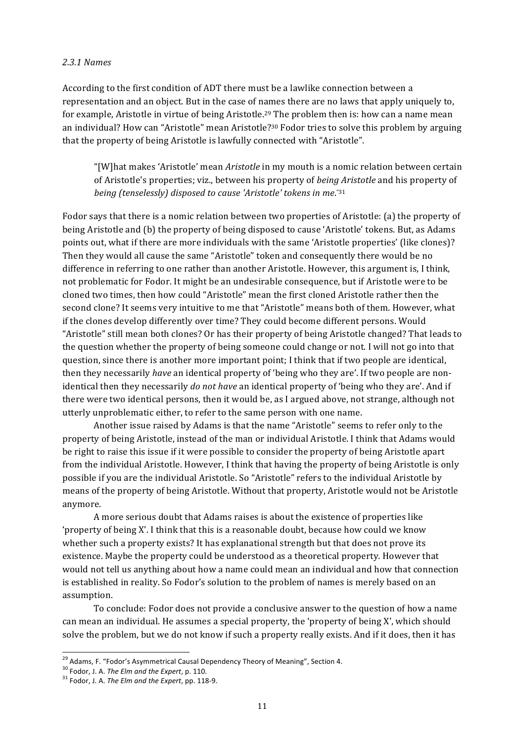#### 2.3.1 Names

According to the first condition of ADT there must be a lawlike connection between a representation and an object. But in the case of names there are no laws that apply uniquely to, for example, Aristotle in virtue of being Aristotle.<sup>29</sup> The problem then is: how can a name mean an individual? How can "Aristotle" mean Aristotle?<sup>30</sup> Fodor tries to solve this problem by arguing that the property of being Aristotle is lawfully connected with "Aristotle".

"[W]hat makes 'Aristotle' mean Aristotle in my mouth is a nomic relation between certain of Aristotle's properties; viz., between his property of *being Aristotle* and his property of being (tenselessly) disposed to cause 'Aristotle' tokens in me."31

Fodor says that there is a nomic relation between two properties of Aristotle: (a) the property of being Aristotle and (b) the property of being disposed to cause 'Aristotle' tokens. But, as Adams points out, what if there are more individuals with the same 'Aristotle properties' (like clones)? Then they would all cause the same "Aristotle" token and consequently there would be no difference in referring to one rather than another Aristotle. However, this argument is, I think, not problematic for Fodor. It might be an undesirable consequence, but if Aristotle were to be cloned two times, then how could "Aristotle" mean the first cloned Aristotle rather then the second clone? It seems very intuitive to me that "Aristotle" means both of them. However, what if the clones develop differently over time? They could become different persons. Would "Aristotle" still mean both clones? Or has their property of being Aristotle changed? That leads to the question whether the property of being someone could change or not. I will not go into that question, since there is another more important point; I think that if two people are identical, then they necessarily have an identical property of 'being who they are'. If two people are nonidentical then they necessarily do not have an identical property of 'being who they are'. And if there were two identical persons, then it would be, as I argued above, not strange, although not utterly unproblematic either, to refer to the same person with one name.

Another issue raised by Adams is that the name "Aristotle" seems to refer only to the property of being Aristotle, instead of the man or individual Aristotle. I think that Adams would be right to raise this issue if it were possible to consider the property of being Aristotle apart from the individual Aristotle. However, I think that having the property of being Aristotle is only possible if you are the individual Aristotle. So "Aristotle" refers to the individual Aristotle by means of the property of being Aristotle. Without that property, Aristotle would not be Aristotle anymore.

A more serious doubt that Adams raises is about the existence of properties like 'property of being X'. I think that this is a reasonable doubt, because how could we know whether such a property exists? It has explanational strength but that does not prove its existence. Maybe the property could be understood as a theoretical property. However that would not tell us anything about how a name could mean an individual and how that connection is established in reality. So Fodor's solution to the problem of names is merely based on an assumption.

To conclude: Fodor does not provide a conclusive answer to the question of how a name can mean an individual. He assumes a special property, the 'property of being X', which should solve the problem, but we do not know if such a property really exists. And if it does, then it has

<sup>&</sup>lt;sup>29</sup> Adams, F. "Fodor's Asymmetrical Causal Dependency Theory of Meaning", Section 4.

<sup>&</sup>lt;sup>30</sup> Fodor, J. A. The Elm and the Expert, p. 110.

<sup>&</sup>lt;sup>31</sup> Fodor. J. A. The Elm and the Expert, pp. 118-9.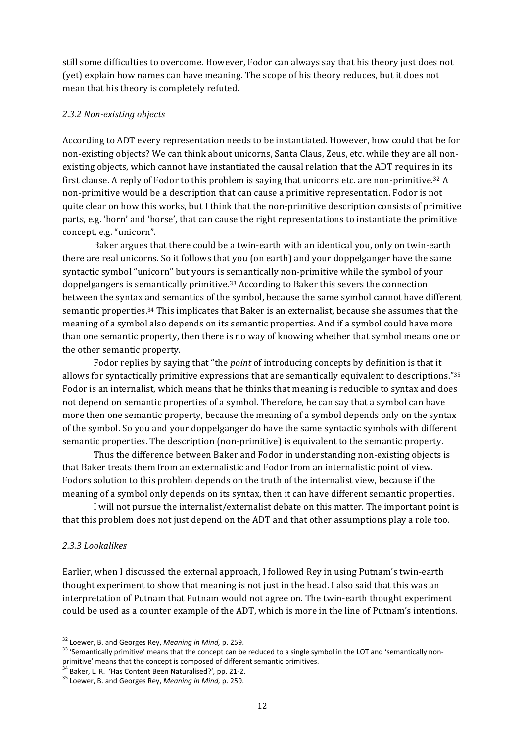still some difficulties to overcome. However, Fodor can always say that his theory just does not (yet) explain how names can have meaning. The scope of his theory reduces, but it does not mean that his theory is completely refuted.

#### *2.3.2#Non=existing#objects*

According to ADT every representation needs to be instantiated. However, how could that be for non-existing objects? We can think about unicorns, Santa Claus, Zeus, etc. while they are all nonexisting objects, which cannot have instantiated the causal relation that the ADT requires in its first clause. A reply of Fodor to this problem is saying that unicorns etc. are non-primitive.<sup>32</sup> A non-primitive would be a description that can cause a primitive representation. Fodor is not quite clear on how this works, but I think that the non-primitive description consists of primitive parts, e.g. 'horn' and 'horse', that can cause the right representations to instantiate the primitive concept, e.g. "unicorn".

Baker argues that there could be a twin-earth with an identical you, only on twin-earth there are real unicorns. So it follows that you (on earth) and your doppelganger have the same syntactic symbol "unicorn" but yours is semantically non-primitive while the symbol of your doppelgangers is semantically primitive.<sup>33</sup> According to Baker this severs the connection between the syntax and semantics of the symbol, because the same symbol cannot have different semantic properties.<sup>34</sup> This implicates that Baker is an externalist, because she assumes that the meaning of a symbol also depends on its semantic properties. And if a symbol could have more than one semantic property, then there is no way of knowing whether that symbol means one or the other semantic property.

Fodor replies by saying that "the *point* of introducing concepts by definition is that it allows for syntactically primitive expressions that are semantically equivalent to descriptions." $35$ Fodor is an internalist, which means that he thinks that meaning is reducible to syntax and does not depend on semantic properties of a symbol. Therefore, he can say that a symbol can have more then one semantic property, because the meaning of a symbol depends only on the syntax of the symbol. So you and your doppelganger do have the same syntactic symbols with different semantic properties. The description (non-primitive) is equivalent to the semantic property.

Thus the difference between Baker and Fodor in understanding non-existing objects is that Baker treats them from an externalistic and Fodor from an internalistic point of view. Fodors solution to this problem depends on the truth of the internalist view, because if the meaning of a symbol only depends on its syntax, then it can have different semantic properties.

I will not pursue the internalist/externalist debate on this matter. The important point is that this problem does not just depend on the ADT and that other assumptions play a role too.

#### 2.3.3 Lookalikes

Earlier, when I discussed the external approach, I followed Rey in using Putnam's twin-earth thought experiment to show that meaning is not just in the head. I also said that this was an interpretation of Putnam that Putnam would not agree on. The twin-earth thought experiment could be used as a counter example of the ADT, which is more in the line of Putnam's intentions.

 $32$  Loewer, B. and Georges Rey, *Meaning in Mind,* p. 259.<br> $33$  'Semantically primitive' means that the concept can be reduced to a single symbol in the LOT and 'semantically nonprimitive' means that the concept is composed of different semantic primitives.<br><sup>34</sup> Baker, L. R. 'Has Content Been Naturalised?', pp. 21-2.

<sup>&</sup>lt;sup>35</sup> Loewer, B. and Georges Rey, Meaning in Mind, p. 259.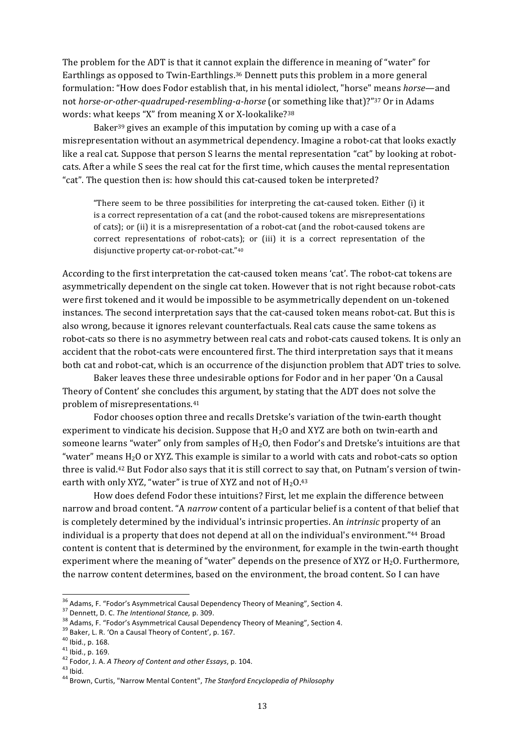The problem for the ADT is that it cannot explain the difference in meaning of "water" for Earthlings as opposed to Twin-Earthlings.<sup>36</sup> Dennett puts this problem in a more general formulation: "How does Fodor establish that, in his mental idiolect, "horse" means horse—and not horse-or-other-quadruped-resembling-a-horse (or something like that)?"37 Or in Adams words: what keeps "X" from meaning X or X-lookalike?<sup>38</sup>

Baker<sup>39</sup> gives an example of this imputation by coming up with a case of a misrepresentation without an asymmetrical dependency. Imagine a robot-cat that looks exactly like a real cat. Suppose that person S learns the mental representation "cat" by looking at robotcats. After a while S sees the real cat for the first time, which causes the mental representation "cat". The question then is: how should this cat-caused token be interpreted?

"There seem to be three possibilities for interpreting the cat-caused token. Either (i) it is a correct representation of a cat (and the robot-caused tokens are misrepresentations of cats); or (ii) it is a misrepresentation of a robot-cat (and the robot-caused tokens are correct representations of robot-cats); or (iii) it is a correct representation of the disjunctive property cat-or-robot-cat."40

According to the first interpretation the cat-caused token means 'cat'. The robot-cat tokens are asymmetrically dependent on the single cat token. However that is not right because robot-cats were first tokened and it would be impossible to be asymmetrically dependent on un-tokened instances. The second interpretation says that the cat-caused token means robot-cat. But this is also wrong, because it ignores relevant counterfactuals. Real cats cause the same tokens as robot-cats so there is no asymmetry between real cats and robot-cats caused tokens. It is only an accident that the robot-cats were encountered first. The third interpretation says that it means both cat and robot-cat, which is an occurrence of the disjunction problem that ADT tries to solve.

Baker leaves these three undesirable options for Fodor and in her paper 'On a Causal Theory of Content' she concludes this argument, by stating that the ADT does not solve the problem of misrepresentations.<sup>41</sup>

Fodor chooses option three and recalls Dretske's variation of the twin-earth thought experiment to vindicate his decision. Suppose that  $H_2O$  and XYZ are both on twin-earth and someone learns "water" only from samples of  $H_2O$ , then Fodor's and Dretske's intuitions are that "water" means  $H_2O$  or XYZ. This example is similar to a world with cats and robot-cats so option three is valid.<sup>42</sup> But Fodor also says that it is still correct to say that, on Putnam's version of twinearth with only XYZ, "water" is true of XYZ and not of  $H_2O^{43}$ 

How does defend Fodor these intuitions? First, let me explain the difference between narrow and broad content. "A narrow content of a particular belief is a content of that belief that is completely determined by the individual's intrinsic properties. An intrinsic property of an individual is a property that does not depend at all on the individual's environment."<sup>44</sup> Broad content is content that is determined by the environment, for example in the twin-earth thought experiment where the meaning of "water" depends on the presence of XYZ or  $H_2O$ . Furthermore, the narrow content determines, based on the environment, the broad content. So I can have

<sup>&</sup>lt;sup>36</sup> Adams, F. "Fodor's Asymmetrical Causal Dependency Theory of Meaning", Section 4.

<sup>&</sup>lt;sup>37</sup> Dennett, D. C. The Intentional Stance, p. 309.

<sup>&</sup>lt;sup>38</sup> Adams, F. "Fodor's Asymmetrical Causal Dependency Theory of Meaning", Section 4.

<sup>&</sup>lt;sup>39</sup> Baker, L. R. 'On a Causal Theory of Content', p. 167.

 $40$  Ibid., p. 168.

 $41$  Ibid., p. 169.

<sup>&</sup>lt;sup>42</sup> Fodor, J. A. A Theory of Content and other Essays, p. 104.

 $43$  Ibid.

<sup>44</sup> Brown. Curtis. "Narrow Mental Content", The Stanford Encyclopedia of Philosophy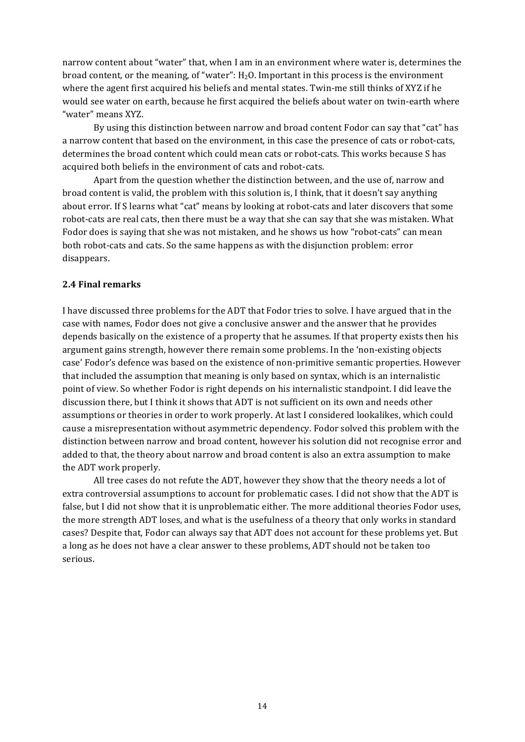narrow content about "water" that, when I am in an environment where water is, determines the broad content, or the meaning, of "water":  $H_2O$ . Important in this process is the environment where the agent first acquired his beliefs and mental states. Twin-me still thinks of XYZ if he would see water on earth, because he first acquired the beliefs about water on twin-earth where "water" means XYZ.

By using this distinction between narrow and broad content Fodor can say that "cat" has a narrow content that based on the environment, in this case the presence of cats or robot-cats, determines the broad content which could mean cats or robot-cats. This works because S has acquired both beliefs in the environment of cats and robot-cats.

Apart from the question whether the distinction between, and the use of, narrow and broad content is valid, the problem with this solution is, I think, that it doesn't say anything about error. If S learns what "cat" means by looking at robot-cats and later discovers that some robot-cats are real cats, then there must be a way that she can say that she was mistaken. What Fodor does is saying that she was not mistaken, and he shows us how "robot-cats" can mean both robot-cats and cats. So the same happens as with the disjunction problem: error disappears.

#### **2.4 Final remarks**

I have discussed three problems for the ADT that Fodor tries to solve. I have argued that in the case with names, Fodor does not give a conclusive answer and the answer that he provides depends basically on the existence of a property that he assumes. If that property exists then his argument gains strength, however there remain some problems. In the 'non-existing objects case' Fodor's defence was based on the existence of non-primitive semantic properties. However that included the assumption that meaning is only based on syntax, which is an internalistic point of view. So whether Fodor is right depends on his internalistic standpoint. I did leave the discussion there, but I think it shows that ADT is not sufficient on its own and needs other assumptions or theories in order to work properly. At last I considered lookalikes, which could cause a misrepresentation without asymmetric dependency. Fodor solved this problem with the distinction between narrow and broad content, however his solution did not recognise error and added to that, the theory about narrow and broad content is also an extra assumption to make the ADT work properly.

All tree cases do not refute the ADT, however they show that the theory needs a lot of extra controversial assumptions to account for problematic cases. I did not show that the ADT is false, but I did not show that it is unproblematic either. The more additional theories Fodor uses, the more strength ADT loses, and what is the usefulness of a theory that only works in standard cases? Despite that, Fodor can always say that ADT does not account for these problems yet. But a long as he does not have a clear answer to these problems, ADT should not be taken too serious.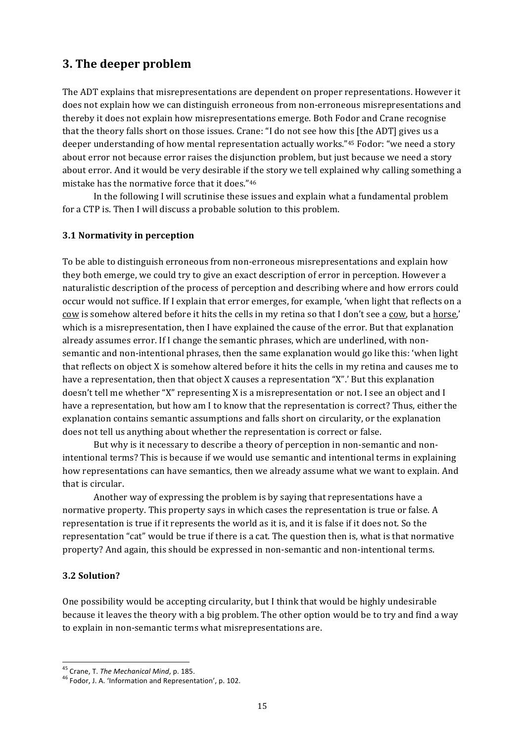## 3. The deeper problem

The ADT explains that misrepresentations are dependent on proper representations. However it does not explain how we can distinguish erroneous from non-erroneous misrepresentations and thereby it does not explain how misrepresentations emerge. Both Fodor and Crane recognise that the theory falls short on those issues. Crane: "I do not see how this [the ADT] gives us a deeper understanding of how mental representation actually works."45 Fodor: "we need a story about error not because error raises the disjunction problem, but just because we need a story about error. And it would be very desirable if the story we tell explained why calling something a mistake has the normative force that it does."46

In the following I will scrutinise these issues and explain what a fundamental problem for a CTP is. Then I will discuss a probable solution to this problem.

## 3.1 Normativity in perception

To be able to distinguish erroneous from non-erroneous misrepresentations and explain how they both emerge, we could try to give an exact description of error in perception. However a naturalistic description of the process of perception and describing where and how errors could occur would not suffice. If I explain that error emerges, for example, 'when light that reflects on a cow is somehow altered before it hits the cells in my retina so that I don't see a cow, but a horse,' which is a misrepresentation, then I have explained the cause of the error. But that explanation already assumes error. If I change the semantic phrases, which are underlined, with nonsemantic and non-intentional phrases, then the same explanation would go like this: 'when light that reflects on object X is somehow altered before it hits the cells in my retina and causes me to have a representation, then that object X causes a representation "X".' But this explanation doesn't tell me whether "X" representing X is a misrepresentation or not. I see an object and I have a representation, but how am I to know that the representation is correct? Thus, either the explanation contains semantic assumptions and falls short on circularity, or the explanation does not tell us anything about whether the representation is correct or false.

But why is it necessary to describe a theory of perception in non-semantic and nonintentional terms? This is because if we would use semantic and intentional terms in explaining how representations can have semantics, then we already assume what we want to explain. And that is circular.

Another way of expressing the problem is by saying that representations have a normative property. This property says in which cases the representation is true or false. A representation is true if it represents the world as it is, and it is false if it does not. So the representation "cat" would be true if there is a cat. The question then is, what is that normative property? And again, this should be expressed in non-semantic and non-intentional terms.

## 3.2 Solution?

One possibility would be accepting circularity, but I think that would be highly undesirable because it leaves the theory with a big problem. The other option would be to try and find a way to explain in non-semantic terms what misrepresentations are.

<sup>&</sup>lt;sup>45</sup> Crane, T. The Mechanical Mind, p. 185.

<sup>&</sup>lt;sup>46</sup> Fodor. J. A. 'Information and Representation', p. 102.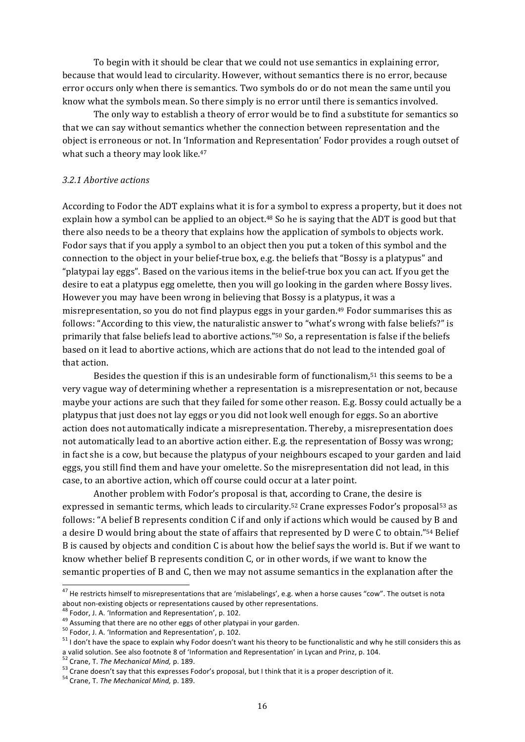To begin with it should be clear that we could not use semantics in explaining error, because that would lead to circularity. However, without semantics there is no error, because error occurs only when there is semantics. Two symbols do or do not mean the same until you know what the symbols mean. So there simply is no error until there is semantics involved.

The only way to establish a theory of error would be to find a substitute for semantics so that we can say without semantics whether the connection between representation and the object is erroneous or not. In 'Information and Representation' Fodor provides a rough outset of what such a theory may look like.<sup>47</sup>

#### *3.2.1#Abortive#actions*

According to Fodor the ADT explains what it is for a symbol to express a property, but it does not explain how a symbol can be applied to an object.<sup>48</sup> So he is saying that the ADT is good but that there also needs to be a theory that explains how the application of symbols to objects work. Fodor says that if you apply a symbol to an object then you put a token of this symbol and the connection to the object in your belief-true box, e.g. the beliefs that "Bossy is a platypus" and "platypai lay eggs". Based on the various items in the belief-true box you can act. If you get the desire to eat a platypus egg omelette, then you will go looking in the garden where Bossy lives. However you may have been wrong in believing that Bossy is a platypus, it was a misrepresentation, so you do not find playpus eggs in your garden.<sup>49</sup> Fodor summarises this as follows: "According to this view, the naturalistic answer to "what's wrong with false beliefs?" is primarily that false beliefs lead to abortive actions."<sup>50</sup> So, a representation is false if the beliefs based on it lead to abortive actions, which are actions that do not lead to the intended goal of that action.

Besides the question if this is an undesirable form of functionalism,<sup>51</sup> this seems to be a very vague way of determining whether a representation is a misrepresentation or not, because maybe your actions are such that they failed for some other reason. E.g. Bossy could actually be a platypus that just does not lay eggs or you did not look well enough for eggs. So an abortive action does not automatically indicate a misrepresentation. Thereby, a misrepresentation does not automatically lead to an abortive action either. E.g. the representation of Bossy was wrong; in fact she is a cow, but because the platypus of your neighbours escaped to your garden and laid eggs, you still find them and have your omelette. So the misrepresentation did not lead, in this case, to an abortive action, which off course could occur at a later point.

Another problem with Fodor's proposal is that, according to Crane, the desire is expressed in semantic terms, which leads to circularity.<sup>52</sup> Crane expresses Fodor's proposal<sup>53</sup> as follows: "A belief B represents condition C if and only if actions which would be caused by B and a desire D would bring about the state of affairs that represented by D were C to obtain."54 Belief B is caused by objects and condition C is about how the belief says the world is. But if we want to know whether belief B represents condition C, or in other words, if we want to know the semantic properties of B and C, then we may not assume semantics in the explanation after the

<sup>&</sup>lt;sup>47</sup> He restricts himself to misrepresentations that are 'mislabelings', e.g. when a horse causes "cow". The outset is nota about non-existing objects or representations caused by other representations.<br><sup>48</sup> Fodor, J. A. 'Information and Representation', p. 102.  $^{49}$ <br>Fodor, J. A. 'Information and Representation', p. 102.

 $51$  I don't have the space to explain why Fodor doesn't want his theory to be functionalistic and why he still considers this as a valid solution. See also footnote 8 of 'Information and Representation' in Lycan and Prinz, p. 104.<br><sup>52</sup> Crane, T. The Mechanical Mind, p. 189.<br><sup>53</sup> Crane doesn't say that this expresses Fodor's proposal, but I think th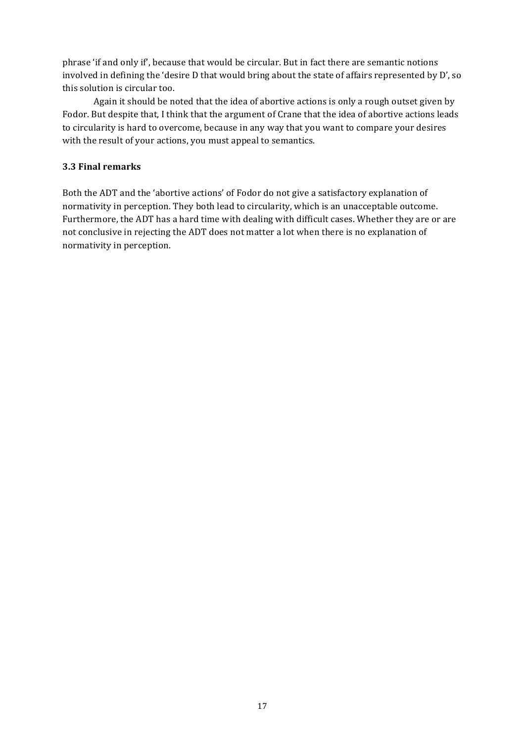phrase 'if and only if', because that would be circular. But in fact there are semantic notions involved in defining the 'desire D that would bring about the state of affairs represented by D', so this solution is circular too.

Again it should be noted that the idea of abortive actions is only a rough outset given by Fodor. But despite that, I think that the argument of Crane that the idea of abortive actions leads to circularity is hard to overcome, because in any way that you want to compare your desires with the result of your actions, you must appeal to semantics.

### **3.3\$Final\$remarks**

Both the ADT and the 'abortive actions' of Fodor do not give a satisfactory explanation of normativity in perception. They both lead to circularity, which is an unacceptable outcome. Furthermore, the ADT has a hard time with dealing with difficult cases. Whether they are or are not conclusive in rejecting the ADT does not matter a lot when there is no explanation of normativity in perception.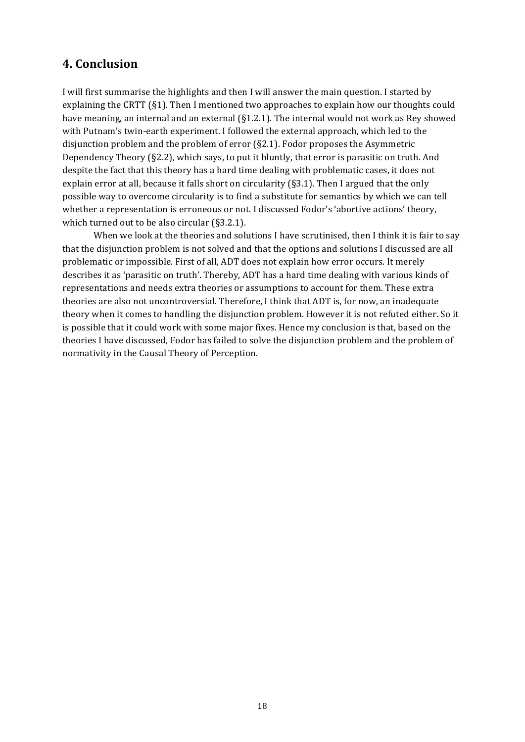## **4.\$Conclusion**

I will first summarise the highlights and then I will answer the main question. I started by explaining the CRTT (§1). Then I mentioned two approaches to explain how our thoughts could have meaning, an internal and an external  $(S1.2.1)$ . The internal would not work as Rey showed with Putnam's twin-earth experiment. I followed the external approach, which led to the disjunction problem and the problem of error  $(S2.1)$ . Fodor proposes the Asymmetric Dependency Theory ( $\S2.2$ ), which says, to put it bluntly, that error is parasitic on truth. And despite the fact that this theory has a hard time dealing with problematic cases, it does not explain error at all, because it falls short on circularity (§3.1). Then I argued that the only possible way to overcome circularity is to find a substitute for semantics by which we can tell whether a representation is erroneous or not. I discussed Fodor's 'abortive actions' theory, which turned out to be also circular  $(S3.2.1)$ .

When we look at the theories and solutions I have scrutinised, then I think it is fair to say that the disjunction problem is not solved and that the options and solutions I discussed are all problematic or impossible. First of all, ADT does not explain how error occurs. It merely describes it as 'parasitic on truth'. Thereby, ADT has a hard time dealing with various kinds of representations and needs extra theories or assumptions to account for them. These extra theories are also not uncontroversial. Therefore, I think that ADT is, for now, an inadequate theory when it comes to handling the disjunction problem. However it is not refuted either. So it is possible that it could work with some major fixes. Hence my conclusion is that, based on the theories I have discussed, Fodor has failed to solve the disjunction problem and the problem of normativity in the Causal Theory of Perception.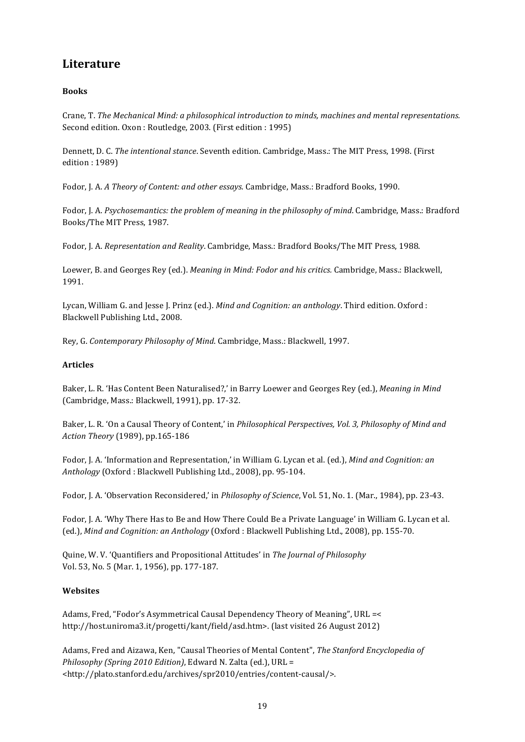# **Literature**

## **Books\$**

Crane, T. The Mechanical Mind: a philosophical introduction to minds, machines and mental representations. Second edition. Oxon: Routledge, 2003. (First edition: 1995)

Dennett, D. C. *The intentional stance*. Seventh edition. Cambridge, Mass.: The MIT Press, 1998. (First edition: 1989)

Fodor, J. A. A Theory of Content: and other essays. Cambridge, Mass.: Bradford Books, 1990.

Fodor, J. A. *Psychosemantics: the problem of meaning in the philosophy of mind*. Cambridge, Mass.: Bradford Books/The MIT Press, 1987.

Fodor, J. A. *Representation and Reality*. Cambridge, Mass.: Bradford Books/The MIT Press, 1988.

Loewer, B. and Georges Rey (ed.). *Meaning in Mind: Fodor and his critics.* Cambridge, Mass.: Blackwell, 1991.

Lycan, William G. and Jesse J. Prinz (ed.). *Mind and Cognition: an anthology*. Third edition. Oxford : Blackwell Publishing Ltd., 2008.

Rey, G. Contemporary Philosophy of Mind. Cambridge, Mass.: Blackwell, 1997.

#### **Articles**

Baker, L. R. 'Has Content Been Naturalised?,' in Barry Loewer and Georges Rey (ed.), *Meaning in Mind* (Cambridge, Mass.: Blackwell, 1991), pp. 17-32.

Baker, L. R. 'On a Causal Theory of Content,' in *Philosophical Perspectives, Vol. 3, Philosophy of Mind and* Action Theory (1989), pp.165-186

Fodor, J. A. 'Information and Representation,' in William G. Lycan et al. (ed.), *Mind and Cognition: an* Anthology (Oxford: Blackwell Publishing Ltd., 2008), pp. 95-104.

Fodor, J. A. 'Observation Reconsidered,' in *Philosophy of Science*, Vol. 51, No. 1. (Mar., 1984), pp. 23-43.

Fodor, J. A. 'Why There Has to Be and How There Could Be a Private Language' in William G. Lycan et al. (ed.), *Mind and Cognition: an Anthology* (Oxford : Blackwell Publishing Ltd., 2008), pp. 155-70.

Quine, W. V. 'Quantifiers and Propositional Attitudes' in The Journal of Philosophy Vol. 53, No. 5 (Mar. 1, 1956), pp. 177-187.

## **Websites**

Adams, Fred, "Fodor's Asymmetrical Causal Dependency Theory of Meaning", URL =< http://host.uniroma3.it/progetti/kant/field/asd.htm>. (last visited 26 August 2012)

Adams, Fred and Aizawa, Ken, "Causal Theories of Mental Content", The Stanford Encyclopedia of *Philosophy (Spring 2010 Edition)*, Edward N. Zalta (ed.), URL = <http://plato.stanford.edu/archives/spr2010/entries/content\causal/>.